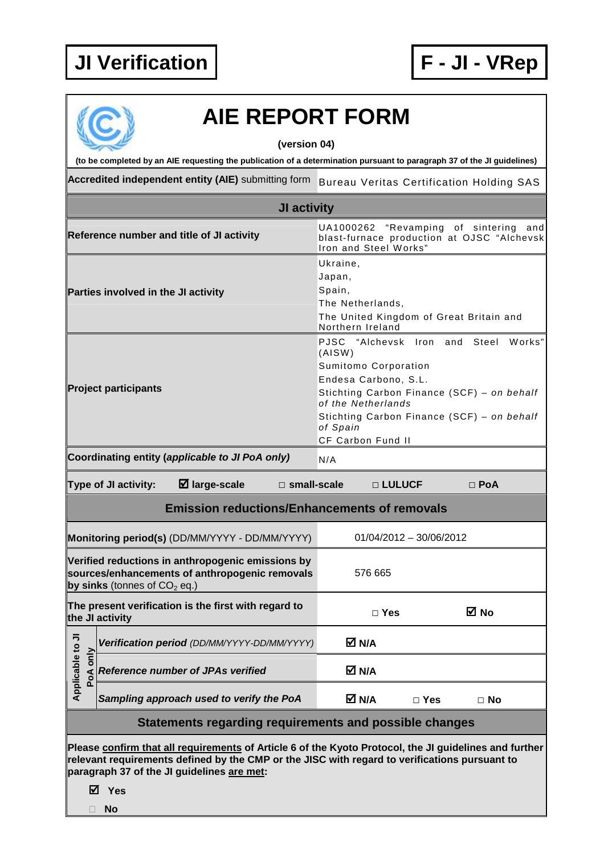

## **AIE REPORT FORM**

**(version 04)** 

**(to be completed by an AIE requesting the publication of a determination pursuant to paragraph 37 of the JI guidelines)** 

Accredited independent entity (AIE) submitting form Bureau Veritas Certification Holding SAS

| <b>JI activity</b>                                                                                                                                                                                                                                    |                                                                           |                                                                                                                                                                                                                                                                   |  |  |  |
|-------------------------------------------------------------------------------------------------------------------------------------------------------------------------------------------------------------------------------------------------------|---------------------------------------------------------------------------|-------------------------------------------------------------------------------------------------------------------------------------------------------------------------------------------------------------------------------------------------------------------|--|--|--|
|                                                                                                                                                                                                                                                       | Reference number and title of JI activity                                 | UA1000262<br>"Revamping of sintering<br>and<br>blast-furnace production at OJSC "Alchevsk<br>Iron and Steel Works"                                                                                                                                                |  |  |  |
| Parties involved in the JI activity                                                                                                                                                                                                                   |                                                                           | Ukraine.<br>Japan,<br>Spain,<br>The Netherlands,<br>The United Kingdom of Great Britain and<br>Northern Ireland                                                                                                                                                   |  |  |  |
| <b>Project participants</b>                                                                                                                                                                                                                           |                                                                           | "Alchevsk Iron and<br><b>PJSC</b><br>Steel<br>Works"<br>(AISW)<br>Sumitomo Corporation<br>Endesa Carbono, S.L.<br>Stichting Carbon Finance (SCF) - on behalf<br>of the Netherlands<br>Stichting Carbon Finance (SCF) - on behalf<br>of Spain<br>CF Carbon Fund II |  |  |  |
|                                                                                                                                                                                                                                                       | Coordinating entity (applicable to JI PoA only)<br>N/A                    |                                                                                                                                                                                                                                                                   |  |  |  |
| $\boxtimes$ large-scale<br>Type of JI activity:<br>$\Box$ small-scale<br>$\Box$ LULUCF<br>$\Box$ PoA                                                                                                                                                  |                                                                           |                                                                                                                                                                                                                                                                   |  |  |  |
| <b>Emission reductions/Enhancements of removals</b>                                                                                                                                                                                                   |                                                                           |                                                                                                                                                                                                                                                                   |  |  |  |
|                                                                                                                                                                                                                                                       | Monitoring period(s) (DD/MM/YYYY - DD/MM/YYYY)<br>01/04/2012 - 30/06/2012 |                                                                                                                                                                                                                                                                   |  |  |  |
| Verified reductions in anthropogenic emissions by<br>sources/enhancements of anthropogenic removals<br>by sinks (tonnes of $CO2$ eq.)                                                                                                                 |                                                                           | 576 665                                                                                                                                                                                                                                                           |  |  |  |
| The present verification is the first with regard to<br>the JI activity                                                                                                                                                                               |                                                                           | M No<br>$\Box$ Yes                                                                                                                                                                                                                                                |  |  |  |
| ⋾                                                                                                                                                                                                                                                     | Verification period (DD/MM/YYYY-DD/MM/YYYY)                               | M N/A                                                                                                                                                                                                                                                             |  |  |  |
| Applicable to<br>PoA only                                                                                                                                                                                                                             | <b>Reference number of JPAs verified</b>                                  | M N/A                                                                                                                                                                                                                                                             |  |  |  |
|                                                                                                                                                                                                                                                       | Sampling approach used to verify the PoA                                  | M N/A<br>$\Box$ Yes<br>$\Box$ No                                                                                                                                                                                                                                  |  |  |  |
| Statements regarding requirements and possible changes                                                                                                                                                                                                |                                                                           |                                                                                                                                                                                                                                                                   |  |  |  |
| Please confirm that all requirements of Article 6 of the Kyoto Protocol, the JI guidelines and further<br>relevant requirements defined by the CMP or the JISC with regard to verifications pursuant to<br>paragraph 37 of the JI guidelines are met: |                                                                           |                                                                                                                                                                                                                                                                   |  |  |  |

**Yes** 

**No**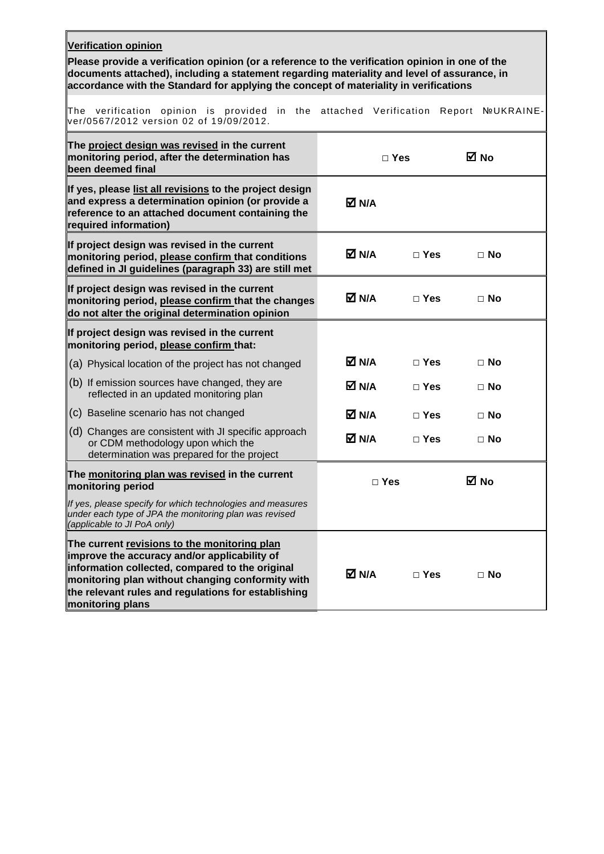| <b>Verification opinion</b><br>Please provide a verification opinion (or a reference to the verification opinion in one of the<br>documents attached), including a statement regarding materiality and level of assurance, in<br>accordance with the Standard for applying the concept of materiality in verifications |            |               |                   |  |  |  |
|------------------------------------------------------------------------------------------------------------------------------------------------------------------------------------------------------------------------------------------------------------------------------------------------------------------------|------------|---------------|-------------------|--|--|--|
| The verification opinion is provided in the attached Verification<br>ver/0567/2012 version 02 of 19/09/2012.                                                                                                                                                                                                           |            |               | Report NºUKRAINE- |  |  |  |
| The project design was revised in the current<br>monitoring period, after the determination has<br>been deemed final                                                                                                                                                                                                   |            | $\Box$ Yes    | ⊠ No              |  |  |  |
| If yes, please list all revisions to the project design<br>and express a determination opinion (or provide a<br>reference to an attached document containing the<br>required information)                                                                                                                              | M N/A      |               |                   |  |  |  |
| If project design was revised in the current<br>monitoring period, please confirm that conditions<br>defined in JI guidelines (paragraph 33) are still met                                                                                                                                                             | M N/A      | $\Box$ Yes    | $\Box$ No         |  |  |  |
| If project design was revised in the current<br>monitoring period, please confirm that the changes<br>do not alter the original determination opinion                                                                                                                                                                  | M N/A      | $\Box$ Yes    | $\Box$ No         |  |  |  |
| If project design was revised in the current<br>monitoring period, please confirm that:                                                                                                                                                                                                                                |            |               |                   |  |  |  |
| (a) Physical location of the project has not changed                                                                                                                                                                                                                                                                   | M N/A      | $\square$ Yes | $\Box$ No         |  |  |  |
| $(6)$ If emission sources have changed, they are<br>reflected in an updated monitoring plan                                                                                                                                                                                                                            | M N/A      | $\Box$ Yes    | $\Box$ No         |  |  |  |
| (c) Baseline scenario has not changed                                                                                                                                                                                                                                                                                  | M N/A      | $\Box$ Yes    | $\Box$ No         |  |  |  |
| (d) Changes are consistent with JI specific approach<br>or CDM methodology upon which the<br>determination was prepared for the project                                                                                                                                                                                | M N/A      | $\Box$ Yes    | $\Box$ No         |  |  |  |
| The monitoring plan was revised in the current<br>monitoring period                                                                                                                                                                                                                                                    | $\Box$ Yes |               | M No              |  |  |  |
| If yes, please specify for which technologies and measures<br>under each type of JPA the monitoring plan was revised<br>(applicable to JI PoA only)                                                                                                                                                                    |            |               |                   |  |  |  |
| The current revisions to the monitoring plan<br>improve the accuracy and/or applicability of<br>information collected, compared to the original<br>monitoring plan without changing conformity with<br>the relevant rules and regulations for establishing<br>monitoring plans                                         | M N/A      | $\Box$ Yes    | $\Box$ No         |  |  |  |